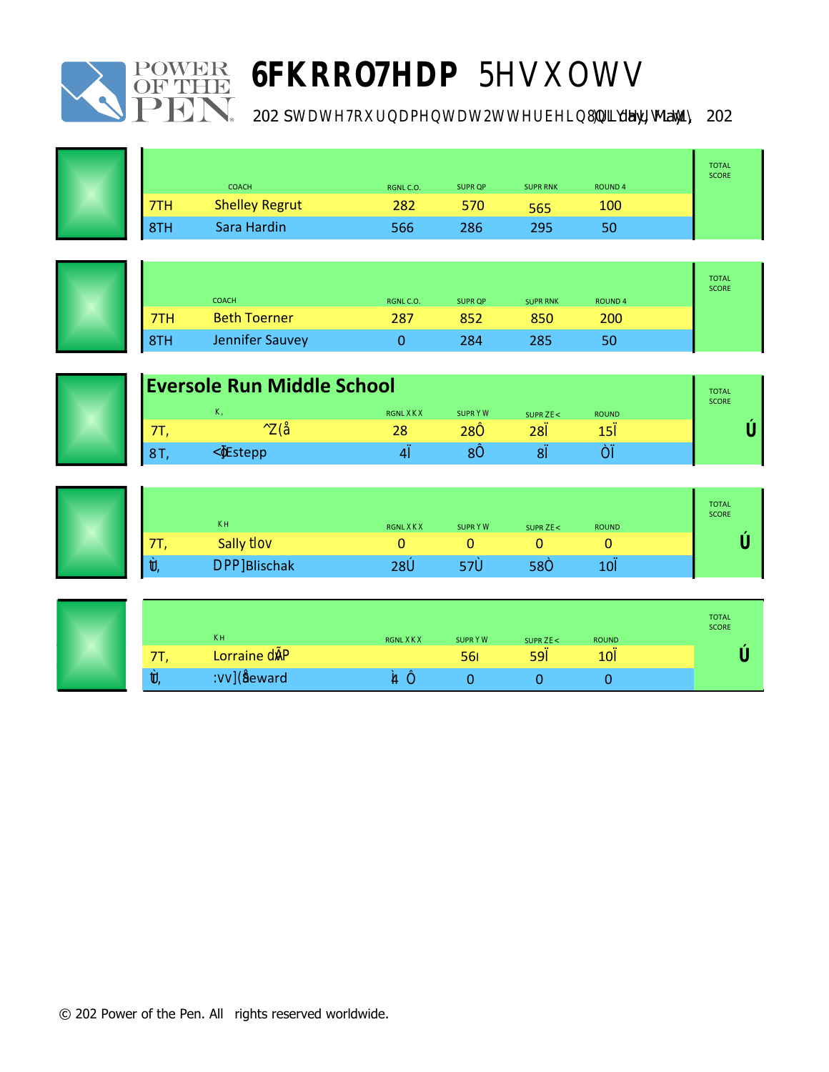





 $\Box$ **Day**, May  $1 \Box 202 \Box$ 



|     | <b>St. Brigid of Kildare</b><br><b>COACH</b><br><b>SUPR RNK</b><br><b>ROUND4</b><br><b>SUPR OP</b><br>RGNLC.O. |     |     |     |     |        |
|-----|----------------------------------------------------------------------------------------------------------------|-----|-----|-----|-----|--------|
| 7TH | <b>Shelley Regrut</b>                                                                                          | 282 | 570 | 565 | 100 | 1854.9 |
| 8TH | Sara Hardin                                                                                                    | 566 | 286 | 295 | 50  |        |

 $\frac{1}{2}$ 

| Wyoming Middle School |                     |           |                |                 |               | <b>TOTAL</b><br><b>SCORE</b> |
|-----------------------|---------------------|-----------|----------------|-----------------|---------------|------------------------------|
|                       | <b>COACH</b>        | RGNL C.O. | <b>SUPR OP</b> | <b>SUPR RNK</b> | <b>ROUND4</b> |                              |
| 7TH.                  | <b>Beth Toerner</b> | 287       | 852            | 850             | 200           | 1674                         |
| 8TH                   | Jennifer Sauvey     |           | 284            | 285             | 50            |                              |

| <b>Eversole Run Middle School</b> |              |        |           |                |                 |               | <b>TOTAL</b><br><b>SCORE</b> |
|-----------------------------------|--------------|--------|-----------|----------------|-----------------|---------------|------------------------------|
|                                   | <b>COACH</b> |        | RGNL C.O. | <b>SUPR QP</b> | <b>SUPR RNK</b> | <b>ROUND4</b> |                              |
|                                   |              |        | 284       | 283            | 280             | 150           |                              |
|                                   | M            | Estepp | 40        |                | 80              | 50            |                              |



| <b>St. Sebastian Parish School</b> |                       |           |                |                 | <b>TOTAL</b><br><b>SCORE</b> |       |  |  |
|------------------------------------|-----------------------|-----------|----------------|-----------------|------------------------------|-------|--|--|
|                                    | <b>COACH</b>          | RGNL C.O. | <b>SUPR OP</b> | <b>SUPR RNK</b> | <b>ROUND4</b>                |       |  |  |
| 7TH.                               | <b>Sally Weakland</b> |           |                |                 |                              | 964.6 |  |  |
| 8TH                                | MaggiBlischak         | 286       | 578            | 585             | 100                          |       |  |  |

| Birchwood School of Hawken |                       |           |                |                 |               | <b>TOTAL</b><br><b>SCORE</b> |
|----------------------------|-----------------------|-----------|----------------|-----------------|---------------|------------------------------|
|                            | <b>COACH</b>          | RGNL C.O. | <b>SUPR OP</b> | <b>SUPR RNK</b> | <b>ROUND4</b> |                              |
| 7TH                        | <b>Lorraine Tzeng</b> |           | 569            | 590             | 100           | 9566                         |
| 8TH                        | Jennifer Seward       | 143       |                |                 |               |                              |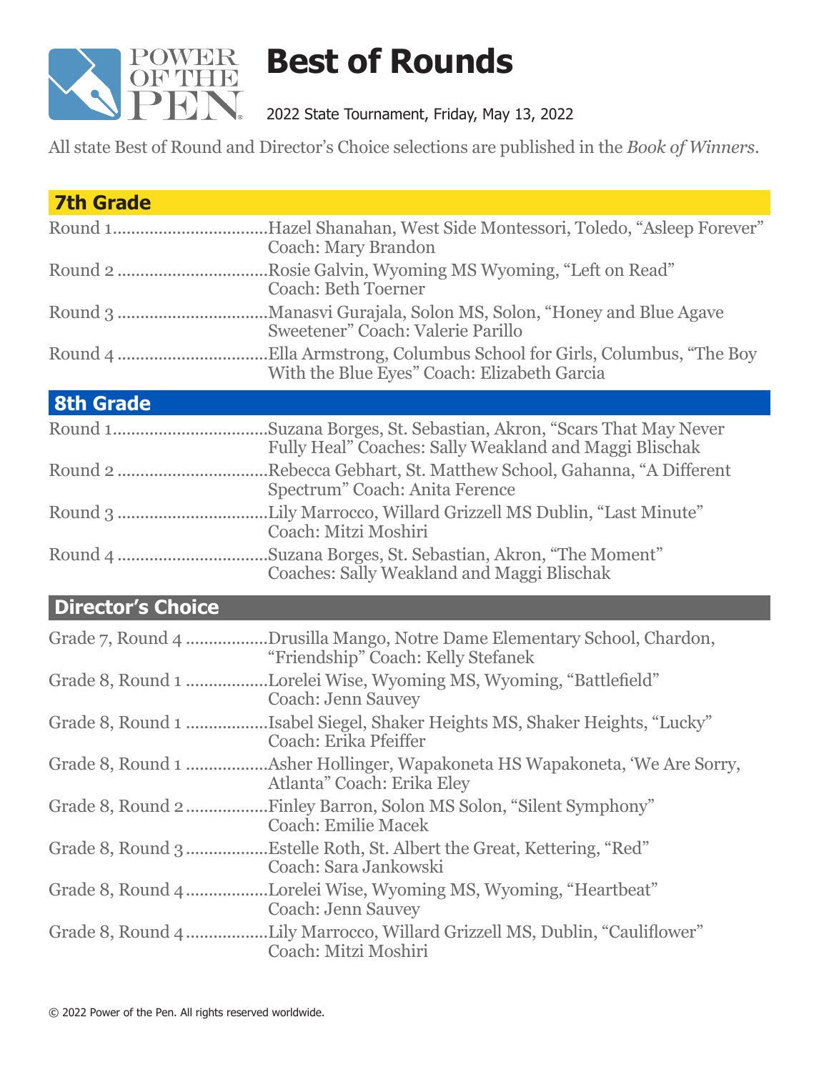

## **Best of Rounds**

2022 State Tournament, Friday, May 13, 2022

All state Best of Round and Director's Choice selections are published in the *Book of Winners*.

| <b>7th Grade</b>         |                                                                                                               |
|--------------------------|---------------------------------------------------------------------------------------------------------------|
|                          | Round 1Hazel Shanahan, West Side Montessori, Toledo, "Asleep Forever"<br><b>Coach: Mary Brandon</b>           |
|                          | Round 2 Rosie Galvin, Wyoming MS Wyoming, "Left on Read"<br><b>Coach: Beth Toerner</b>                        |
|                          | Sweetener" Coach: Valerie Parillo                                                                             |
|                          | With the Blue Eyes" Coach: Elizabeth Garcia                                                                   |
| <b>8th Grade</b>         |                                                                                                               |
|                          | Fully Heal" Coaches: Sally Weakland and Maggi Blischak                                                        |
|                          | Rebecca Gebhart, St. Matthew School, Gahanna, "A Different".<br>Spectrum" Coach: Anita Ference                |
|                          | Coach: Mitzi Moshiri                                                                                          |
|                          | Coaches: Sally Weakland and Maggi Blischak                                                                    |
| <b>Director's Choice</b> |                                                                                                               |
|                          | Grade 7, Round 4 Drusilla Mango, Notre Dame Elementary School, Chardon,<br>"Friendship" Coach: Kelly Stefanek |
|                          | Grade 8, Round 1 Lorelei Wise, Wyoming MS, Wyoming, "Battlefield"<br><b>Coach: Jenn Sauvey</b>                |
|                          | Grade 8, Round 1 Isabel Siegel, Shaker Heights MS, Shaker Heights, "Lucky"<br>Coach: Erika Pfeiffer           |
|                          | Atlanta" Coach: Erika Eley                                                                                    |
|                          | <b>Coach: Emilie Macek</b>                                                                                    |
|                          | Grade 8, Round 3Estelle Roth, St. Albert the Great, Kettering, "Red"<br>Coach: Sara Jankowski                 |
|                          | Grade 8, Round 4 Lorelei Wise, Wyoming MS, Wyoming, "Heartbeat"<br>Coach: Jenn Sauvey                         |
|                          | Grade 8, Round 4 Lily Marrocco, Willard Grizzell MS, Dublin, "Cauliflower"<br>Coach: Mitzi Moshiri            |